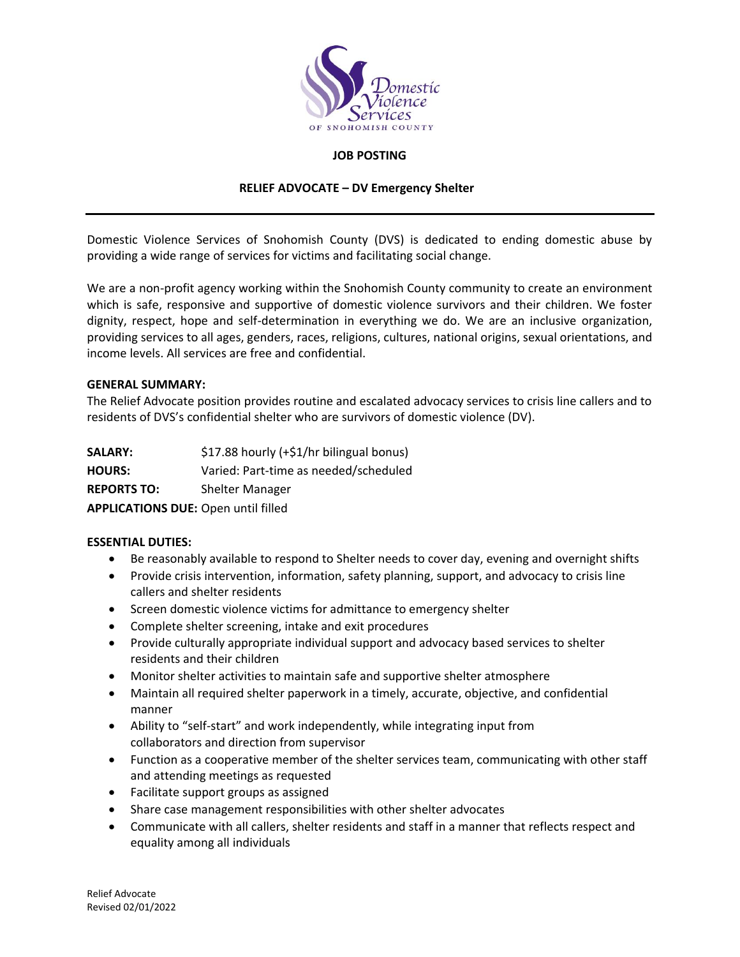

#### **JOB POSTING**

#### **RELIEF ADVOCATE – DV Emergency Shelter**

Domestic Violence Services of Snohomish County (DVS) is dedicated to ending domestic abuse by providing a wide range of services for victims and facilitating social change.

We are a non-profit agency working within the Snohomish County community to create an environment which is safe, responsive and supportive of domestic violence survivors and their children. We foster dignity, respect, hope and self-determination in everything we do. We are an inclusive organization, providing services to all ages, genders, races, religions, cultures, national origins, sexual orientations, and income levels. All services are free and confidential.

#### **GENERAL SUMMARY:**

The Relief Advocate position provides routine and escalated advocacy services to crisis line callers and to residents of DVS's confidential shelter who are survivors of domestic violence (DV).

| <b>SALARY:</b>                             | \$17.88 hourly (+\$1/hr bilingual bonus) |
|--------------------------------------------|------------------------------------------|
| <b>HOURS:</b>                              | Varied: Part-time as needed/scheduled    |
| <b>REPORTS TO:</b>                         | <b>Shelter Manager</b>                   |
| <b>APPLICATIONS DUE: Open until filled</b> |                                          |

## **ESSENTIAL DUTIES:**

- Be reasonably available to respond to Shelter needs to cover day, evening and overnight shifts
- Provide crisis intervention, information, safety planning, support, and advocacy to crisis line callers and shelter residents
- Screen domestic violence victims for admittance to emergency shelter
- Complete shelter screening, intake and exit procedures
- Provide culturally appropriate individual support and advocacy based services to shelter residents and their children
- Monitor shelter activities to maintain safe and supportive shelter atmosphere
- Maintain all required shelter paperwork in a timely, accurate, objective, and confidential manner
- Ability to "self-start" and work independently, while integrating input from collaborators and direction from supervisor
- Function as a cooperative member of the shelter services team, communicating with other staff and attending meetings as requested
- Facilitate support groups as assigned
- Share case management responsibilities with other shelter advocates
- Communicate with all callers, shelter residents and staff in a manner that reflects respect and equality among all individuals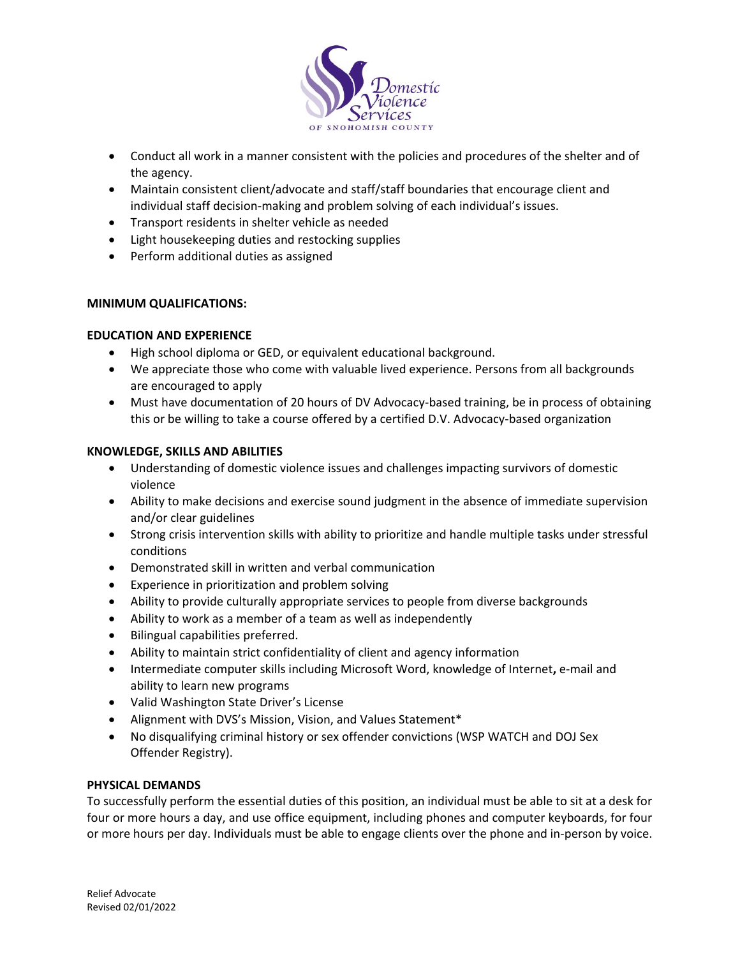

- Conduct all work in a manner consistent with the policies and procedures of the shelter and of the agency.
- Maintain consistent client/advocate and staff/staff boundaries that encourage client and individual staff decision-making and problem solving of each individual's issues.
- Transport residents in shelter vehicle as needed
- Light housekeeping duties and restocking supplies
- Perform additional duties as assigned

# **MINIMUM QUALIFICATIONS:**

# **EDUCATION AND EXPERIENCE**

- High school diploma or GED, or equivalent educational background.
- We appreciate those who come with valuable lived experience. Persons from all backgrounds are encouraged to apply
- Must have documentation of 20 hours of DV Advocacy-based training, be in process of obtaining this or be willing to take a course offered by a certified D.V. Advocacy-based organization

# **KNOWLEDGE, SKILLS AND ABILITIES**

- Understanding of domestic violence issues and challenges impacting survivors of domestic violence
- Ability to make decisions and exercise sound judgment in the absence of immediate supervision and/or clear guidelines
- Strong crisis intervention skills with ability to prioritize and handle multiple tasks under stressful conditions
- Demonstrated skill in written and verbal communication
- Experience in prioritization and problem solving
- Ability to provide culturally appropriate services to people from diverse backgrounds
- Ability to work as a member of a team as well as independently
- Bilingual capabilities preferred.
- Ability to maintain strict confidentiality of client and agency information
- Intermediate computer skills including Microsoft Word, knowledge of Internet**,** e-mail and ability to learn new programs
- Valid Washington State Driver's License
- Alignment with DVS's Mission, Vision, and Values Statement\*
- No disqualifying criminal history or sex offender convictions (WSP WATCH and DOJ Sex Offender Registry).

## **PHYSICAL DEMANDS**

To successfully perform the essential duties of this position, an individual must be able to sit at a desk for four or more hours a day, and use office equipment, including phones and computer keyboards, for four or more hours per day. Individuals must be able to engage clients over the phone and in-person by voice.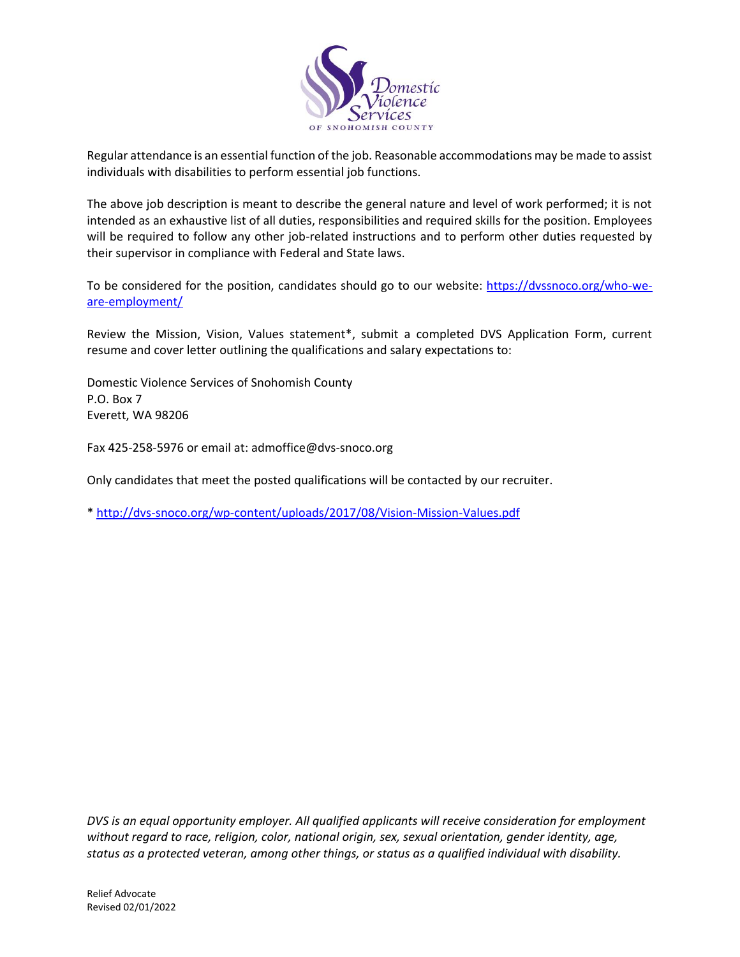

Regular attendance is an essential function of the job. Reasonable accommodations may be made to assist individuals with disabilities to perform essential job functions.

The above job description is meant to describe the general nature and level of work performed; it is not intended as an exhaustive list of all duties, responsibilities and required skills for the position. Employees will be required to follow any other job-related instructions and to perform other duties requested by their supervisor in compliance with Federal and State laws.

To be considered for the position, candidates should go to our website: [https://dvssnoco.org/who-we](https://dvssnoco.org/who-we-are-employment/)[are-employment/](https://dvssnoco.org/who-we-are-employment/)

Review the Mission, Vision, Values statement\*, submit a completed DVS Application Form, current resume and cover letter outlining the qualifications and salary expectations to:

Domestic Violence Services of Snohomish County P.O. Box 7 Everett, WA 98206

Fax 425-258-5976 or email at: admoffice@dvs-snoco.org

Only candidates that meet the posted qualifications will be contacted by our recruiter.

\*<http://dvs-snoco.org/wp-content/uploads/2017/08/Vision-Mission-Values.pdf>

*DVS is an equal opportunity employer. All qualified applicants will receive consideration for employment without regard to race, religion, color, national origin, sex, sexual orientation, gender identity, age, status as a protected veteran, among other things, or status as a qualified individual with disability.*